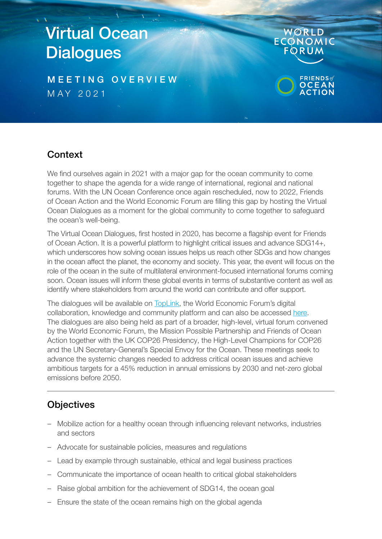# Virtual Ocean **Dialogues**

M E E T I N G O V E R V I E W MAY 2021



## **Context**

We find ourselves again in 2021 with a major gap for the ocean community to come together to shape the agenda for a wide range of international, regional and national forums. With the UN Ocean Conference once again rescheduled, now to 2022, Friends of Ocean Action and the World Economic Forum are filling this gap by hosting the Virtual Ocean Dialogues as a moment for the global community to come together to safeguard the ocean's well-being.

The Virtual Ocean Dialogues, first hosted in 2020, has become a flagship event for Friends of Ocean Action. It is a powerful platform to highlight critical issues and advance SDG14+, which underscores how solving ocean issues helps us reach other SDGs and how changes in the ocean affect the planet, the economy and society. This year, the event will focus on the role of the ocean in the suite of multilateral environment-focused international forums coming soon. Ocean issues will inform these global events in terms of substantive content as well as identify where stakeholders from around the world can contribute and offer support.

The dialogues will be available on [TopLink](https://toplink.weforum.org/events/a0P68000000YAf2EAG/virtual-ocean-dialogues-2021), the World Economic Forum's digital collaboration, knowledge and community platform and can also be accessed [here.](https://www.weforum.org/events/virtual-ocean-dialogues-2021) The dialogues are also being held as part of a broader, high-level, virtual forum convened by the World Economic Forum, the Mission Possible Partnership and Friends of Ocean Action together with the UK COP26 Presidency, the High-Level Champions for COP26 and the UN Secretary-General's Special Envoy for the Ocean. These meetings seek to advance the systemic changes needed to address critical ocean issues and achieve ambitious targets for a 45% reduction in annual emissions by 2030 and net-zero global emissions before 2050.

## **Objectives**

- Mobilize action for a healthy ocean through influencing relevant networks, industries and sectors
- Advocate for sustainable policies, measures and regulations
- Lead by example through sustainable, ethical and legal business practices
- Communicate the importance of ocean health to critical global stakeholders
- Raise global ambition for the achievement of SDG14, the ocean goal
- Ensure the state of the ocean remains high on the global agenda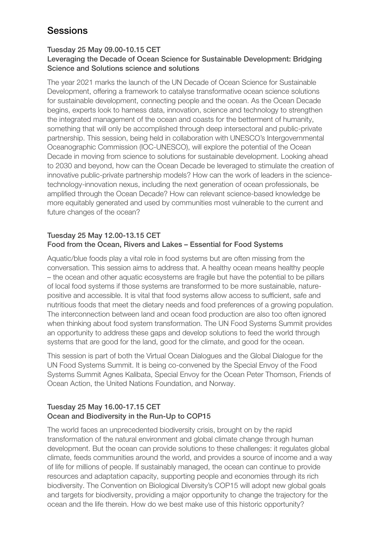## **Sessions**

#### Tuesday 25 May 09.00-10.15 CET

### Leveraging the Decade of Ocean Science for Sustainable Development: Bridging Science and Solutions science and solutions

The year 2021 marks the launch of the UN Decade of Ocean Science for Sustainable Development, offering a framework to catalyse transformative ocean science solutions for sustainable development, connecting people and the ocean. As the Ocean Decade begins, experts look to harness data, innovation, science and technology to strengthen the integrated management of the ocean and coasts for the betterment of humanity, something that will only be accomplished through deep intersectoral and public-private partnership. This session, being held in collaboration with UNESCO's Intergovernmental Oceanographic Commission (IOC-UNESCO), will explore the potential of the Ocean Decade in moving from science to solutions for sustainable development. Looking ahead to 2030 and beyond, how can the Ocean Decade be leveraged to stimulate the creation of innovative public-private partnership models? How can the work of leaders in the sciencetechnology-innovation nexus, including the next generation of ocean professionals, be amplified through the Ocean Decade? How can relevant science-based knowledge be more equitably generated and used by communities most vulnerable to the current and future changes of the ocean?

#### Tuesday 25 May 12.00-13.15 CET Food from the Ocean, Rivers and Lakes – Essential for Food Systems

Aquatic/blue foods play a vital role in food systems but are often missing from the conversation. This session aims to address that. A healthy ocean means healthy people – the ocean and other aquatic ecosystems are fragile but have the potential to be pillars of local food systems if those systems are transformed to be more sustainable, naturepositive and accessible. It is vital that food systems allow access to sufficient, safe and nutritious foods that meet the dietary needs and food preferences of a growing population. The interconnection between land and ocean food production are also too often ignored when thinking about food system transformation. The UN Food Systems Summit provides an opportunity to address these gaps and develop solutions to feed the world through systems that are good for the land, good for the climate, and good for the ocean.

This session is part of both the Virtual Ocean Dialogues and the Global Dialogue for the UN Food Systems Summit. It is being co-convened by the Special Envoy of the Food Systems Summit Agnes Kalibata, Special Envoy for the Ocean Peter Thomson, Friends of Ocean Action, the United Nations Foundation, and Norway.

#### Tuesday 25 May 16.00-17.15 CET Ocean and Biodiversity in the Run-Up to COP15

The world faces an unprecedented biodiversity crisis, brought on by the rapid transformation of the natural environment and global climate change through human development. But the ocean can provide solutions to these challenges: it regulates global climate, feeds communities around the world, and provides a source of income and a way of life for millions of people. If sustainably managed, the ocean can continue to provide resources and adaptation capacity, supporting people and economies through its rich biodiversity. The Convention on Biological Diversity's COP15 will adopt new global goals and targets for biodiversity, providing a major opportunity to change the trajectory for the ocean and the life therein. How do we best make use of this historic opportunity?